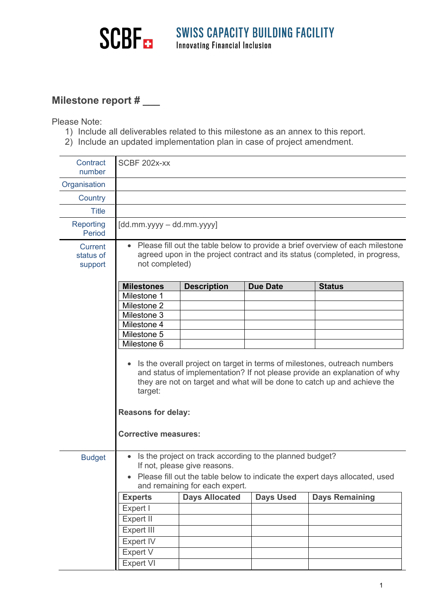

## **Milestone report # \_\_\_**

Please Note:

- 1) Include all deliverables related to this milestone as an annex to this report.
- 2) Include an updated implementation plan in case of project amendment.

| Contract<br>number                     | SCBF 202x-xx                                                                                                                                                                                                                                                                                                           |                       |                  |                       |  |  |  |
|----------------------------------------|------------------------------------------------------------------------------------------------------------------------------------------------------------------------------------------------------------------------------------------------------------------------------------------------------------------------|-----------------------|------------------|-----------------------|--|--|--|
| Organisation                           |                                                                                                                                                                                                                                                                                                                        |                       |                  |                       |  |  |  |
| Country                                |                                                                                                                                                                                                                                                                                                                        |                       |                  |                       |  |  |  |
| <b>Title</b>                           |                                                                                                                                                                                                                                                                                                                        |                       |                  |                       |  |  |  |
| Reporting<br>Period                    | $[dd.mm.yyyy - dd.mm.yyyy]$                                                                                                                                                                                                                                                                                            |                       |                  |                       |  |  |  |
| <b>Current</b><br>status of<br>support | • Please fill out the table below to provide a brief overview of each milestone<br>agreed upon in the project contract and its status (completed, in progress,<br>not completed)                                                                                                                                       |                       |                  |                       |  |  |  |
|                                        | <b>Milestones</b>                                                                                                                                                                                                                                                                                                      | <b>Description</b>    | <b>Due Date</b>  | <b>Status</b>         |  |  |  |
|                                        | Milestone 1<br>Milestone 2                                                                                                                                                                                                                                                                                             |                       |                  |                       |  |  |  |
|                                        | Milestone 3                                                                                                                                                                                                                                                                                                            |                       |                  |                       |  |  |  |
|                                        | Milestone 4                                                                                                                                                                                                                                                                                                            |                       |                  |                       |  |  |  |
|                                        | Milestone 5                                                                                                                                                                                                                                                                                                            |                       |                  |                       |  |  |  |
|                                        | Milestone 6                                                                                                                                                                                                                                                                                                            |                       |                  |                       |  |  |  |
|                                        | Is the overall project on target in terms of milestones, outreach numbers<br>$\bullet$<br>and status of implementation? If not please provide an explanation of why<br>they are not on target and what will be done to catch up and achieve the<br>target:<br><b>Reasons for delay:</b><br><b>Corrective measures:</b> |                       |                  |                       |  |  |  |
|                                        |                                                                                                                                                                                                                                                                                                                        |                       |                  |                       |  |  |  |
| <b>Budget</b>                          | Is the project on track according to the planned budget?<br>If not, please give reasons.<br>Please fill out the table below to indicate the expert days allocated, used<br>$\bullet$<br>and remaining for each expert.                                                                                                 |                       |                  |                       |  |  |  |
|                                        | <b>Experts</b>                                                                                                                                                                                                                                                                                                         | <b>Days Allocated</b> | <b>Days Used</b> | <b>Days Remaining</b> |  |  |  |
|                                        | Expert I                                                                                                                                                                                                                                                                                                               |                       |                  |                       |  |  |  |
|                                        | Expert II                                                                                                                                                                                                                                                                                                              |                       |                  |                       |  |  |  |
|                                        | Expert III                                                                                                                                                                                                                                                                                                             |                       |                  |                       |  |  |  |
|                                        | Expert IV                                                                                                                                                                                                                                                                                                              |                       |                  |                       |  |  |  |
|                                        | Expert V                                                                                                                                                                                                                                                                                                               |                       |                  |                       |  |  |  |
|                                        | <b>Expert VI</b>                                                                                                                                                                                                                                                                                                       |                       |                  |                       |  |  |  |